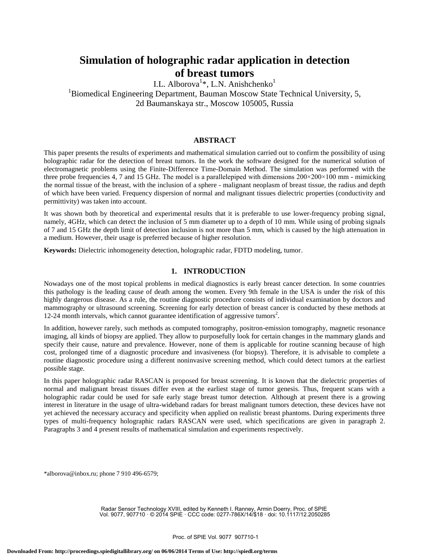# **Simulation of holographic radar application in detection of breast tumors**

I.L. Alborova<sup>1</sup>\*, L.N. Anishchenko<sup>1</sup> <sup>1</sup>Biomedical Engineering Department, Bauman Moscow State Technical University, 5,

2d Baumanskaya str., Moscow 105005, Russia

# **ABSTRACT**

This paper presents the results of experiments and mathematical simulation carried out to confirm the possibility of using holographic radar for the detection of breast tumors. In the work the software designed for the numerical solution of electromagnetic problems using the Finite-Difference Time-Domain Method. The simulation was performed with the three probe frequencies 4, 7 and 15 GHz. The model is a parallelepiped with dimensions  $200 \times 200 \times 100$  mm - mimicking the normal tissue of the breast, with the inclusion of a sphere - malignant neoplasm of breast tissue, the radius and depth of which have been varied. Frequency dispersion of normal and malignant tissues dielectric properties (conductivity and permittivity) was taken into account.

It was shown both by theoretical and experimental results that it is preferable to use lower-frequency probing signal, namely, 4GHz, which can detect the inclusion of 5 mm diameter up to a depth of 10 mm. While using of probing signals of 7 and 15 GHz the depth limit of detection inclusion is not more than 5 mm, which is caused by the high attenuation in a medium. However, their usage is preferred because of higher resolution.

**Keywords:** Dielectric inhomogeneity detection, holographic radar, FDTD modeling, tumor.

### **1. INTRODUCTION**

Nowadays one of the most topical problems in medical diagnostics is early breast cancer detection. In some countries this pathology is the leading cause of death among the women. Every 9th female in the USA is under the risk of this highly dangerous disease. As a rule, the routine diagnostic procedure consists of individual examination by doctors and mammography or ultrasound screening. Screening for early detection of breast cancer is conducted by these methods at 12-24 month intervals, which cannot guarantee identification of aggressive tumors<sup>2</sup>.

In addition, however rarely, such methods as computed tomography, positron-emission tomography, magnetic resonance imaging, all kinds of biopsy are applied. They allow to purposefully look for certain changes in the mammary glands and specify their cause, nature and prevalence. However, none of them is applicable for routine scanning because of high cost, prolonged time of a diagnostic procedure and invasiveness (for biopsy). Therefore, it is advisable to complete a routine diagnostic procedure using a different noninvasive screening method, which could detect tumors at the earliest possible stage.

In this paper holographic radar RASCAN is proposed for breast screening. It is known that the dielectric properties of normal and malignant breast tissues differ even at the earliest stage of tumor genesis. Thus, frequent scans with a holographic radar could be used for safe early stage breast tumor detection. Although at present there is a growing interest in literature in the usage of ultra-wideband radars for breast malignant tumors detection, these devices have not yet achieved the necessary accuracy and specificity when applied on realistic breast phantoms. During experiments three types of multi-frequency holographic radars RASCAN were used, which specifications are given in paragraph 2. Paragraphs 3 and 4 present results of mathematical simulation and experiments respectively.

\*alborova@inbox.ru; phone 7 910 496-6579;

Radar Sensor Technology XVIII, edited by Kenneth I. Ranney, Armin Doerry, Proc. of SPIE Vol. 9077, 907710 · © 2014 SPIE · CCC code: 0277-786X/14/\$18 · doi: 10.1117/12.2050285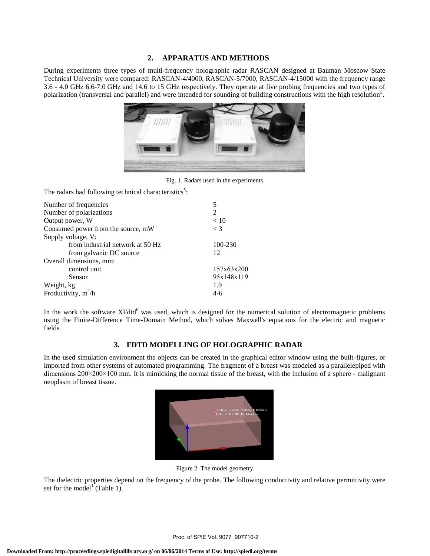# **2. APPARATUS AND METHODS**

During experiments three types of multi-frequency holographic radar RASCAN designed at Bauman Moscow State Technical University were compared: RASCAN-4/4000, RASCAN-5/7000, RASCAN-4/15000 with the frequency range 3.6 - 4.0 GHz 6.6-7.0 GHz and 14.6 to 15 GHz respectively. They operate at five probing frequencies and two types of polarization (transversal and parallel) and were intended for sounding of building constructions with the high resolution<sup>3</sup>.



Fig. 1. Radars used in the experiments

The radars had following technical characteristics<sup>5</sup>:

| Number of frequencies              | 5              |
|------------------------------------|----------------|
| Number of polarizations            | $\mathfrak{D}$ |
| Output power, W                    | < 10           |
| Consumed power from the source, mW | $\langle 3$    |
| Supply voltage, V:                 |                |
| from industrial network at 50 Hz   | 100-230        |
| from galvanic DC source            | 12             |
| Overall dimensions, mm:            |                |
| control unit                       | 157x63x200     |
| Sensor                             | 95x148x119     |
| Weight, kg                         | 1.9            |
| Productivity, $m^2/h$              | 4-6            |
|                                    |                |

In the work the software XFdtd<sup>6</sup> was used, which is designed for the numerical solution of electromagnetic problems using the Finite-Difference Time-Domain Method, which solves Maxwell's equations for the electric and magnetic fields.

# **3. FDTD MODELLING OF HOLOGRAPHIC RADAR**

In the used simulation environment the objects can be created in the graphical editor window using the built-figures, or imported from other systems of automated programming. The fragment of a breast was modeled as a parallelepiped with dimensions 200×200×100 mm. It is mimicking the normal tissue of the breast, with the inclusion of a sphere - malignant neoplasm of breast tissue.



Figure 2. The model geometry

The dielectric properties depend on the frequency of the probe. The following conductivity and relative permittivity were set for the model<sup>1</sup> (Table 1).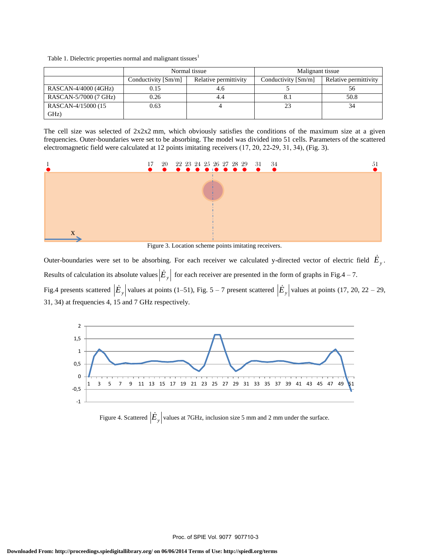|  | Table 1. Dielectric properties normal and malignant tissues <sup>1</sup> |
|--|--------------------------------------------------------------------------|
|  |                                                                          |

|                       | Normal tissue       |                       | Malignant tissue    |                       |
|-----------------------|---------------------|-----------------------|---------------------|-----------------------|
|                       | Conductivity [Sm/m] | Relative permittivity | Conductivity [Sm/m] | Relative permittivity |
| RASCAN-4/4000 (4GHz)  | 0.15                | 4.6                   |                     | 56                    |
| RASCAN-5/7000 (7 GHz) | 0.26                | 4.4                   |                     | 50.8                  |
| RASCAN-4/15000 (15    | 0.63                |                       |                     | 34                    |
| GHz)                  |                     |                       |                     |                       |

The cell size was selected of  $2x2x2$  mm, which obviously satisfies the conditions of the maximum size at a given frequencies. Outer-boundaries were set to be absorbing. The model was divided into 51 cells. Parameters of the scattered electromagnetic field were calculated at 12 points imitating receivers (17, 20, 22-29, 31, 34), (Fig. 3).



Figure 3. Location scheme points imitating receivers.

Outer-boundaries were set to be absorbing. For each receiver we calculated y-directed vector of electric field  $\dot{E}_y$ . Results of calculation its absolute values  $|\dot{E}_y|$  for each receiver are presented in the form of graphs in Fig.4 – 7. Fig.4 presents scattered  $|\dot{E}_y|$  values at points (1–51), Fig. 5 – 7 present scattered  $|\dot{E}_y|$  values at points (17, 20, 22 – 29,





Figure 4. Scattered  $|\dot{E}_y|$  values at 7GHz, inclusion size 5 mm and 2 mm under the surface.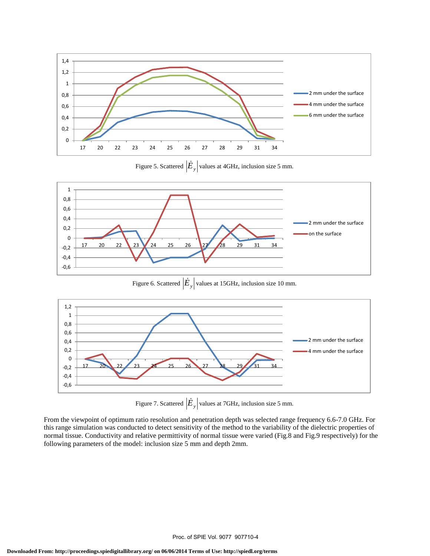

Figure 5. Scattered  $\left| \dot{E}_y \right|$  values at 4GHz, inclusion size 5 mm.



Figure 6. Scattered *Ey* values at 15GHz, inclusion size 10 mm.



Figure 7. Scattered  $|\dot{E}_y|$  values at 7GHz, inclusion size 5 mm.

From the viewpoint of optimum ratio resolution and penetration depth was selected range frequency 6.6-7.0 GHz. For this range simulation was conducted to detect sensitivity of the method to the variability of the dielectric properties of normal tissue. Conductivity and relative permittivity of normal tissue were varied (Fig.8 and Fig.9 respectively) for the following parameters of the model: inclusion size 5 mm and depth 2mm.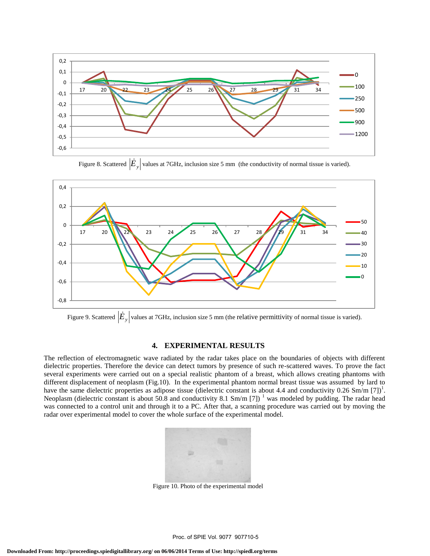

Figure 8. Scattered  $|\dot{E}_y|$  values at 7GHz, inclusion size 5 mm (the conductivity of normal tissue is varied).



Figure 9. Scattered  $|\dot{E}_y|$  values at 7GHz, inclusion size 5 mm (the relative permittivity of normal tissue is varied).

### **4. EXPERIMENTAL RESULTS**

The reflection of electromagnetic wave radiated by the radar takes place on the boundaries of objects with different dielectric properties. Therefore the device can detect tumors by presence of such re-scattered waves. To prove the fact several experiments were carried out on a special realistic phantom of a breast, which allows creating phantoms with different displacement of neoplasm (Fig.10). In the experimental phantom normal breast tissue was assumed by lard to have the same dielectric properties as adipose tissue (dielectric constant is about 4.4 and conductivity  $0.26 \text{ Sm/m [7]}$ )<sup>1</sup>. Neoplasm (dielectric constant is about 50.8 and conductivity 8.1 Sm/m [7]) <sup>1</sup> was modeled by pudding. The radar head was connected to a control unit and through it to a PC. After that, a scanning procedure was carried out by moving the radar over experimental model to cover the whole surface of the experimental model.



Figure 10. Photo of the experimental model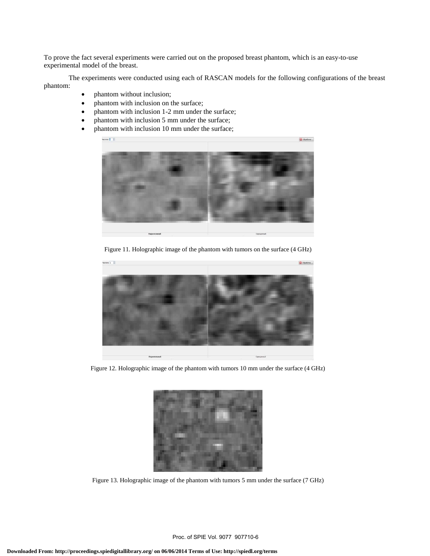To prove the fact several experiments were carried out on the proposed breast phantom, which is an easy-to-use experimental model of the breast.

The experiments were conducted using each of RASCAN models for the following configurations of the breast phantom:

- phantom without inclusion;
- phantom with inclusion on the surface;
- phantom with inclusion 1-2 mm under the surface;
- phantom with inclusion 5 mm under the surface;
- phantom with inclusion 10 mm under the surface;



Figure 11. Holographic image of the phantom with tumors on the surface (4 GHz)



Figure 12. Holographic image of the phantom with tumors 10 mm under the surface (4 GHz)



Figure 13. Holographic image of the phantom with tumors 5 mm under the surface (7 GHz)

Proc. of SPIE Vol. 9077 907710-6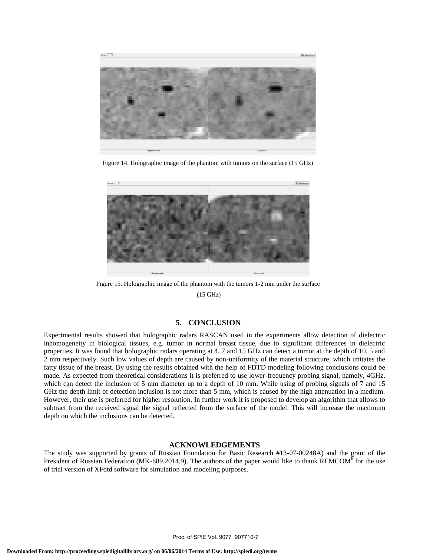

Figure 14. Holographic image of the phantom with tumors on the surface (15 GHz)



Figure 15. Holographic image of the phantom with the tumors 1-2 mm under the surface

(15 GHz)

## **5. CONCLUSION**

Experimental results showed that holographic radars RASCAN used in the experiments allow detection of dielectric inhomogeneity in biological tissues, e.g. tumor in normal breast tissue, due to significant differences in dielectric properties. It was found that holographic radars operating at 4, 7 and 15 GHz can detect a tumor at the depth of 10, 5 and 2 mm respectively. Such low values of depth are caused by non-uniformity of the material structure, which imitates the fatty tissue of the breast. By using the results obtained with the help of FDTD modeling following conclusions could be made. As expected from theoretical considerations it is preferred to use lower-frequency probing signal, namely, 4GHz, which can detect the inclusion of 5 mm diameter up to a depth of 10 mm. While using of probing signals of 7 and 15 GHz the depth limit of detection inclusion is not more than 5 mm, which is caused by the high attenuation in a medium. However, their use is preferred for higher resolution. In further work it is proposed to develop an algorithm that allows to subtract from the received signal the signal reflected from the surface of the model. This will increase the maximum depth on which the inclusions can be detected.

#### **ACKNOWLEDGEMENTS**

The study was supported by grants of Russian Foundation for Basic Research #13-07-00248A) and the grant of the President of Russian Federation (MK-889.2014.9). The authors of the paper would like to thank  $REMCOM^6$  for the use of trial version of XFdtd software for simulation and modeling purposes.